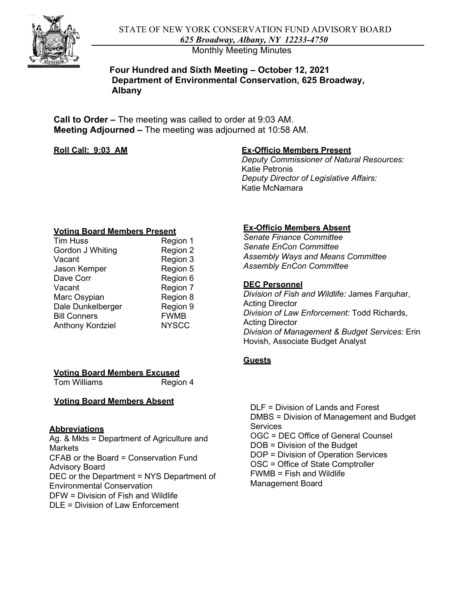Monthly Meeting Minutes

## **Four Hundred and Sixth Meeting – October 12, 2021 Department of Environmental Conservation, 625 Broadway, Albany**

 **Call to Order –** The meeting was called to order at 9:03 AM. **Meeting Adjourned –** The meeting was adjourned at 10:58 AM.

## **Roll Call: 9:03 AM**

## **Ex-Officio Members Present**

*Deputy Commissioner of Natural Resources:*  Katie Petronis *Deputy Director of Legislative Affairs:*  Katie McNamara

### **Voting Board Members Present**

| Region 1     |
|--------------|
| Region 2     |
| Region 3     |
| Region 5     |
| Region 6     |
| Region 7     |
| Region 8     |
| Region 9     |
| <b>FWMB</b>  |
| <b>NYSCC</b> |
|              |

# **Ex-Officio Members Absent**

*Senate Finance Committee Senate EnCon Committee Assembly Ways and Means Committee Assembly EnCon Committee* 

## **DEC Personnel**

*Division of Fish and Wildlife:* James Farquhar, Acting Director *Division of Law Enforcement:* Todd Richards, Acting Director *Division of Management & Budget Services:* Erin Hovish, Associate Budget Analyst

## **Guests**

## **Voting Board Members Excused**

Tom Williams Region 4

# **Voting Board Members Absent DLF** = Division of Lands and Forest

 OGC = DEC Office of General Counsel Ag. & Mkts = Department of Agriculture and Markets Does and DOB = Division of the Budget<br>
CEAR or the Board = Conservation Fund<br>
DOP = Division of Operation Services  $CFAB$  or the Board = Conservation Fund OSC = Office of State Comptroller<br>Advisory Board DEC or the Department = NYS Department of FWMB = Fish and W<br>Environmental Conservation Management Board Environmental Conservation DFW = Division of Fish and Wildlife DLE = Division of Law Enforcement

FWMB = Fish and Wildlife DMBS = Division of Management and Budget Abbreviations<br>Ag & Mkts = Department of Agriculture and<br>Ag & Mkts = Department of Agriculture and<br>COC = DEC Office of General Counsel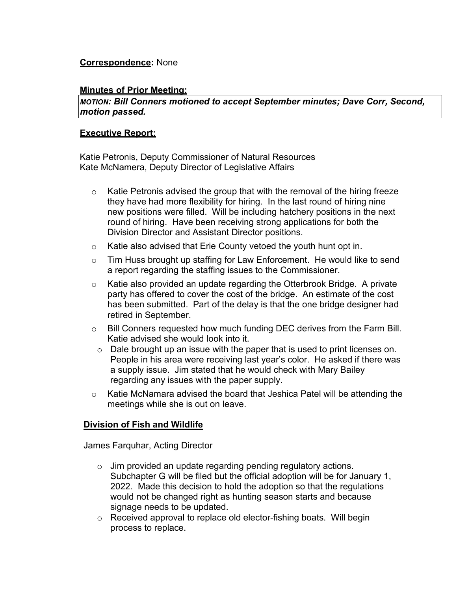# **Correspondence:** None

## **Minutes of Prior Meeting;**

*MOTION: Bill Conners motioned to accept September minutes; Dave Corr, Second, motion passed.* 

## **Executive Report:**

 Katie Petronis, Deputy Commissioner of Natural Resources Kate McNamera, Deputy Director of Legislative Affairs

- $\circ$  Katie Petronis advised the group that with the removal of the hiring freeze they have had more flexibility for hiring. In the last round of hiring nine new positions were filled. Will be including hatchery positions in the next round of hiring. Have been receiving strong applications for both the Division Director and Assistant Director positions.
- o Katie also advised that Erie County vetoed the youth hunt opt in.
- o Tim Huss brought up staffing for Law Enforcement. He would like to send a report regarding the staffing issues to the Commissioner.
- $\circ$  Katie also provided an update regarding the Otterbrook Bridge. A private party has offered to cover the cost of the bridge. An estimate of the cost has been submitted. Part of the delay is that the one bridge designer had retired in September.
- $\circ$  Bill Conners requested how much funding DEC derives from the Farm Bill.<br>Katie advised she would look into it.
- $\circ$  Dale brought up an issue with the paper that is used to print licenses on. People in his area were receiving last year's color. He asked if there was a supply issue. Jim stated that he would check with Mary Bailey regarding any issues with the paper supply.
- meetings while she is out on leave. o Katie McNamara advised the board that Jeshica Patel will be attending the

## **Division of Fish and Wildlife**

James Farquhar, Acting Director

- $\circ$  Jim provided an update regarding pending regulatory actions.  $\circ$  Jim provided an update regarding pending regulatory actions.<br>Subchapter G will be filed but the official adoption will be for January 1, 2022. Made this decision to hold the adoption so that the regulations would not be changed right as hunting season starts and because signage needs to be updated.
- $\circ$  Received approval to replace old elector-fishing boats. Will begin process to replace.